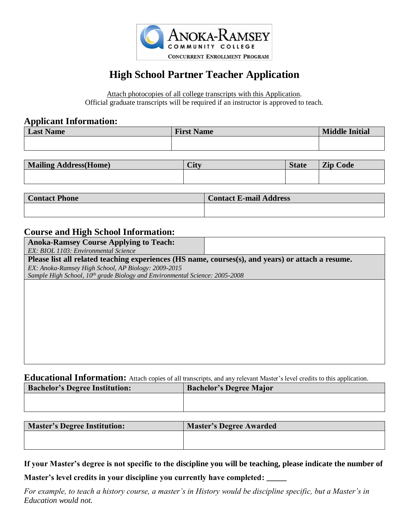

# **High School Partner Teacher Application**

Attach photocopies of all college transcripts with this Application. Official graduate transcripts will be required if an instructor is approved to teach.

#### **Applicant Information:**

| <b>Last Name</b> | <b>First Name</b> | <b>Middle Initial</b> |
|------------------|-------------------|-----------------------|
|                  |                   |                       |

| <b>Mailing Address (Home)</b> | City | <b>State</b> | <b>Zip Code</b> |
|-------------------------------|------|--------------|-----------------|
|                               |      |              |                 |
|                               |      |              |                 |

| <b>Contact Phone</b> | <b>Contact E-mail Address</b> |
|----------------------|-------------------------------|
|                      |                               |

#### **Course and High School Information:**

| <b>Anoka-Ramsey Course Applying to Teach:</b>                                                     |  |
|---------------------------------------------------------------------------------------------------|--|
| EX: BIOL 1103: Environmental Science                                                              |  |
| Please list all related teaching experiences (HS name, courses(s), and years) or attach a resume. |  |
| EX: Anoka-Ramsey High School, AP Biology: 2009-2015                                               |  |
| Sample High School, 10 <sup>th</sup> grade Biology and Environmental Science: 2005-2008           |  |
|                                                                                                   |  |
|                                                                                                   |  |
|                                                                                                   |  |
|                                                                                                   |  |
|                                                                                                   |  |
|                                                                                                   |  |
|                                                                                                   |  |
|                                                                                                   |  |
|                                                                                                   |  |

**Educational Information:** Attach copies of all transcripts, and any relevant Master's level credits to this application.

| <b>Bachelor's Degree Institution:</b> | <b>Bachelor's Degree Major</b> |
|---------------------------------------|--------------------------------|
|                                       |                                |
|                                       |                                |

| <b>Master's Degree Institution:</b> | <b>Master's Degree Awarded</b> |
|-------------------------------------|--------------------------------|
|                                     |                                |
|                                     |                                |

**If your Master's degree is not specific to the discipline you will be teaching, please indicate the number of** 

**Master's level credits in your discipline you currently have completed: \_\_\_\_\_**

*For example, to teach a history course, a master's in History would be discipline specific, but a Master's in Education would not.*